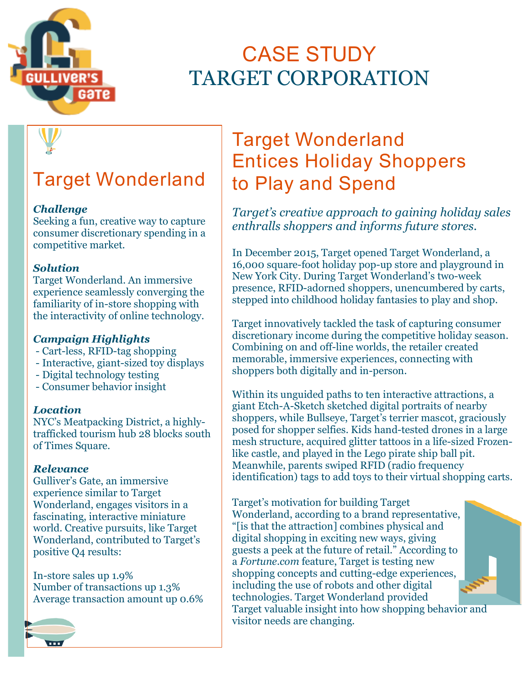

# **CASE STUDY** TARGET CORPORATION

# **Target Wonderland**

## *Challenge*

Seeking a fun, creative way to capture consumer discretionary spending in a competitive market.

## *Solution*

Target Wonderland. An immersive experience seamlessly converging the familiarity of in-store shopping with the interactivity of online technology.

# *Campaign Highlights*

- Cart-less, RFID-tag shopping
- Interactive, giant-sized toy displays
- Digital technology testing
- Consumer behavior insight

### *Location*

NYC's Meatpacking District, a highlytrafficked tourism hub 28 blocks south of Times Square.

## *Relevance*

Gulliver's Gate, an immersive experience similar to Target Wonderland, engages visitors in a fascinating, interactive miniature world. Creative pursuits, like Target Wonderland, contributed to Target's positive Q4 results:

In-store sales up 1.9% Number of transactions up 1.3% Average transaction amount up 0.6%

# **Target Wonderland Entices Holiday Shoppers** to Play and Spend

*Target's creative approach to gaining holiday sales enthralls shoppers and informs future stores.* 

In December 2015, Target opened Target Wonderland, a 16,000 square-foot holiday pop-up store and playground in New York City. During Target Wonderland's two-week presence, RFID-adorned shoppers, unencumbered by carts, stepped into childhood holiday fantasies to play and shop.

Target innovatively tackled the task of capturing consumer discretionary income during the competitive holiday season. Combining on and off-line worlds, the retailer created memorable, immersive experiences, connecting with shoppers both digitally and in-person.

Within its unguided paths to ten interactive attractions, a giant Etch-A-Sketch sketched digital portraits of nearby shoppers, while Bullseye, Target's terrier mascot, graciously posed for shopper selfies. Kids hand-tested drones in a large mesh structure, acquired glitter tattoos in a life-sized Frozenlike castle, and played in the Lego pirate ship ball pit. Meanwhile, parents swiped RFID (radio frequency identification) tags to add toys to their virtual shopping carts.

Target's motivation for building Target Wonderland, according to a brand representative, "[is that the attraction] combines physical and digital shopping in exciting new ways, giving guests a peek at the future of retail." According to a *Fortune.com* feature, Target is testing new shopping concepts and cutting-edge experiences, including the use of robots and other digital technologies. Target Wonderland provided Target valuable insight into how shopping behavior and visitor needs are changing.